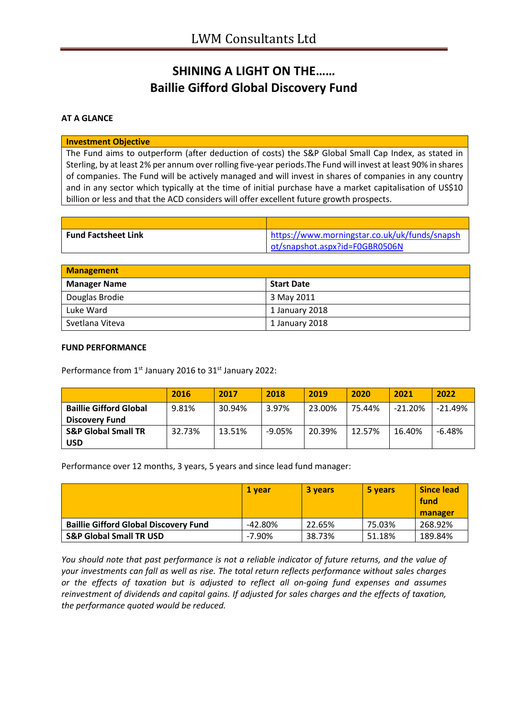# **SHINING A LIGHT ON THE…… Baillie Gifford Global Discovery Fund**

### **AT A GLANCE**

#### **Investment Objective**

The Fund aims to outperform (after deduction of costs) the S&P Global Small Cap Index, as stated in Sterling, by at least 2% per annum over rolling five-year periods.The Fund will invest at least 90% in shares of companies. The Fund will be actively managed and will invest in shares of companies in any country and in any sector which typically at the time of initial purchase have a market capitalisation of US\$10 billion or less and that the ACD considers will offer excellent future growth prospects.

| <b>Fund Factsheet Link</b> | https://www.morningstar.co.uk/uk/funds/snapsh |
|----------------------------|-----------------------------------------------|
|                            | ot/snapshot.aspx?id=F0GBR0506N                |

| <b>Management</b>   |                   |  |
|---------------------|-------------------|--|
| <b>Manager Name</b> | <b>Start Date</b> |  |
| Douglas Brodie      | 3 May 2011        |  |
| Luke Ward           | 1 January 2018    |  |
| Svetlana Viteva     | 1 January 2018    |  |

#### **FUND PERFORMANCE**

Performance from 1<sup>st</sup> January 2016 to 31<sup>st</sup> January 2022:

|                                | 2016   | 2017   | 2018     | 2019   | 2020   | 2021      | 2022      |
|--------------------------------|--------|--------|----------|--------|--------|-----------|-----------|
| <b>Baillie Gifford Global</b>  | 9.81%  | 30.94% | 3.97%    | 23.00% | 75.44% | $-21.20%$ | $-21.49%$ |
| <b>Discovery Fund</b>          |        |        |          |        |        |           |           |
| <b>S&amp;P Global Small TR</b> | 32.73% | 13.51% | $-9.05%$ | 20.39% | 12.57% | 16.40%    | $-6.48%$  |
| <b>USD</b>                     |        |        |          |        |        |           |           |

Performance over 12 months, 3 years, 5 years and since lead fund manager:

|                                              | 1 vear     | <b>3 years</b> | 5 years | <b>Since lead</b><br>fund |
|----------------------------------------------|------------|----------------|---------|---------------------------|
|                                              |            |                |         | manager                   |
| <b>Baillie Gifford Global Discovery Fund</b> | $-42.80\%$ | 22.65%         | 75.03%  | 268.92%                   |
| <b>S&amp;P Global Small TR USD</b>           | $-7.90\%$  | 38.73%         | 51.18%  | 189.84%                   |

*You should note that past performance is not a reliable indicator of future returns, and the value of your investments can fall as well as rise. The total return reflects performance without sales charges or the effects of taxation but is adjusted to reflect all on-going fund expenses and assumes reinvestment of dividends and capital gains. If adjusted for sales charges and the effects of taxation, the performance quoted would be reduced.*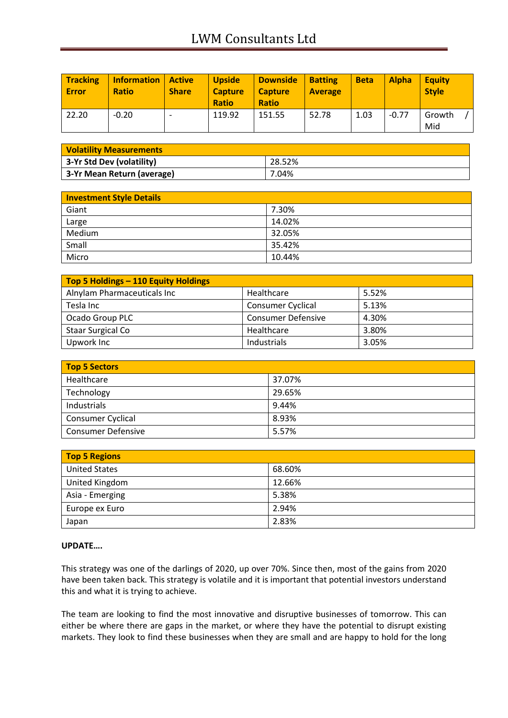| <b>Tracking</b><br><b>Error</b> | <b>Information   Active</b><br><b>Ratio</b> | <b>Share</b> | <b>Upside</b><br><b>Capture</b><br><b>Ratio</b> | <b>Downside</b><br><b>Capture</b><br><b>Ratio</b> | <b>Batting</b><br><b>Average</b> | <b>Beta</b> | <b>Alpha</b> | <b>Equity</b><br><b>Style</b> |
|---------------------------------|---------------------------------------------|--------------|-------------------------------------------------|---------------------------------------------------|----------------------------------|-------------|--------------|-------------------------------|
| 22.20                           | $-0.20$                                     |              | 119.92                                          | 151.55                                            | 52.78                            | 1.03        | $-0.77$      | Growth<br>Mid                 |

| <b>Volatility Measurements</b> |        |  |
|--------------------------------|--------|--|
| 3-Yr Std Dev (volatility)      | 28.52% |  |
| 3-Yr Mean Return (average)     | 7.04%  |  |

| <b>Investment Style Details</b> |        |  |
|---------------------------------|--------|--|
| Giant                           | 7.30%  |  |
| Large                           | 14.02% |  |
| Medium                          | 32.05% |  |
| Small                           | 35.42% |  |
| Micro                           | 10.44% |  |

| Top 5 Holdings - 110 Equity Holdings |                           |       |  |  |
|--------------------------------------|---------------------------|-------|--|--|
| Alnylam Pharmaceuticals Inc          | Healthcare                | 5.52% |  |  |
| Tesla Inc                            | <b>Consumer Cyclical</b>  | 5.13% |  |  |
| Ocado Group PLC                      | <b>Consumer Defensive</b> | 4.30% |  |  |
| <b>Staar Surgical Co</b>             | Healthcare                | 3.80% |  |  |
| Upwork Inc                           | Industrials               | 3.05% |  |  |

| Top 5 Sectors             |        |
|---------------------------|--------|
| Healthcare                | 37.07% |
| Technology                | 29.65% |
| Industrials               | 9.44%  |
| <b>Consumer Cyclical</b>  | 8.93%  |
| <b>Consumer Defensive</b> | 5.57%  |

| <b>Top 5 Regions</b> |        |
|----------------------|--------|
| <b>United States</b> | 68.60% |
| United Kingdom       | 12.66% |
| Asia - Emerging      | 5.38%  |
| Europe ex Euro       | 2.94%  |
| Japan                | 2.83%  |

## **UPDATE….**

This strategy was one of the darlings of 2020, up over 70%. Since then, most of the gains from 2020 have been taken back. This strategy is volatile and it is important that potential investors understand this and what it is trying to achieve.

The team are looking to find the most innovative and disruptive businesses of tomorrow. This can either be where there are gaps in the market, or where they have the potential to disrupt existing markets. They look to find these businesses when they are small and are happy to hold for the long